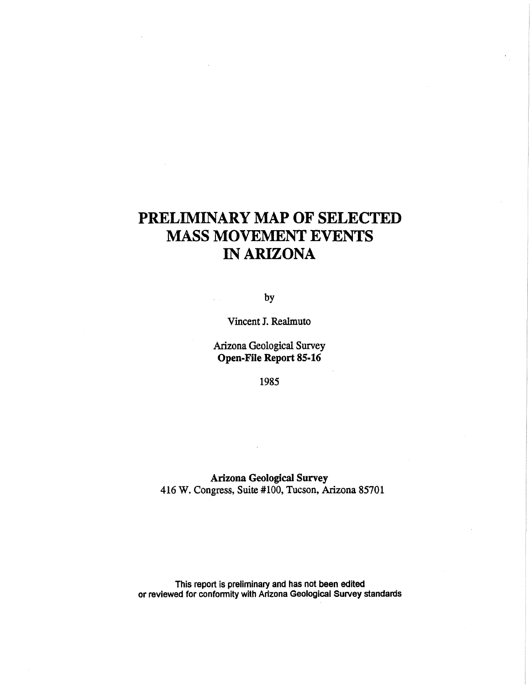# **PRELIMINARY MAP OF SELECTED MASS MOVEMENT EVENTS**  IN ARIZONA

by

Vincent J. Realmuto

Arizona Geological Survey Open.File Report 85·16

1985

Arizona Geological Survey 416 W. Congress, Suite #100, Tucson, Arizona 85701

This report is preliminary and has not been edited or reviewed for conformity with Arizona Geological Survey standards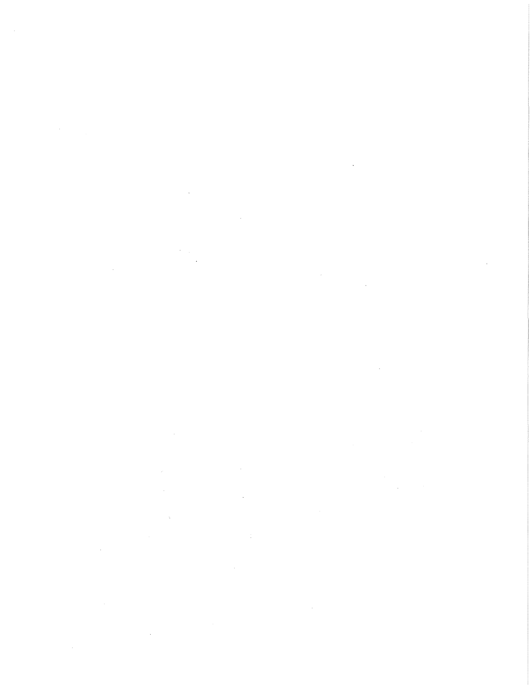$\mathcal{L}^{\text{max}}_{\text{max}}$  and  $\mathcal{L}^{\text{max}}_{\text{max}}$  $\sim 10^{-10}$  $\label{eq:2.1} \frac{1}{\sqrt{2}}\int_{\mathbb{R}^3}\frac{1}{\sqrt{2}}\left(\frac{1}{\sqrt{2}}\right)^2\frac{1}{\sqrt{2}}\left(\frac{1}{\sqrt{2}}\right)^2\frac{1}{\sqrt{2}}\left(\frac{1}{\sqrt{2}}\right)^2\frac{1}{\sqrt{2}}\left(\frac{1}{\sqrt{2}}\right)^2.$ 

 $\label{eq:2.1} \frac{1}{\sqrt{2}}\left(\frac{1}{\sqrt{2}}\right)^{2} \left(\frac{1}{\sqrt{2}}\right)^{2} \left(\frac{1}{\sqrt{2}}\right)^{2} \left(\frac{1}{\sqrt{2}}\right)^{2} \left(\frac{1}{\sqrt{2}}\right)^{2} \left(\frac{1}{\sqrt{2}}\right)^{2} \left(\frac{1}{\sqrt{2}}\right)^{2} \left(\frac{1}{\sqrt{2}}\right)^{2} \left(\frac{1}{\sqrt{2}}\right)^{2} \left(\frac{1}{\sqrt{2}}\right)^{2} \left(\frac{1}{\sqrt{2}}\right)^{2} \left(\$  $\label{eq:2.1} \frac{1}{\sqrt{2\pi}}\int_{\mathbb{R}^3}\frac{d\mu}{\sqrt{2\pi}}\left(\frac{d\mu}{\mu}\right)^2\frac{d\mu}{\sqrt{2\pi}}\int_{\mathbb{R}^3}\frac{d\mu}{\sqrt{2\pi}}\frac{d\mu}{\sqrt{2\pi}}\frac{d\mu}{\sqrt{2\pi}}\frac{d\mu}{\sqrt{2\pi}}\frac{d\mu}{\sqrt{2\pi}}\frac{d\mu}{\sqrt{2\pi}}\frac{d\mu}{\sqrt{2\pi}}\frac{d\mu}{\sqrt{2\pi}}\frac{d\mu}{\sqrt{2\pi}}\frac{d\mu}{\$  $\label{eq:2.1} \frac{d\mathbf{y}}{d\mathbf{y}} = \frac{d\mathbf{y}}{d\mathbf{y}} \left[ \frac{d\mathbf{y}}{d\mathbf{y}} \right] \left[ \frac{d\mathbf{y}}{d\mathbf{y}} \right] \left[ \frac{d\mathbf{y}}{d\mathbf{y}} \right] \left[ \frac{d\mathbf{y}}{d\mathbf{y}} \right] \left[ \frac{d\mathbf{y}}{d\mathbf{y}} \right] \left[ \frac{d\mathbf{y}}{d\mathbf{y}} \right] \left[ \frac{d\mathbf{y}}{d\mathbf{y}} \right] \left[ \frac{$ 

 $\sim 10^{11}$  $\mathcal{A}^{\text{max}}_{\text{max}}$  $\label{eq:2.1} \frac{1}{\sqrt{2}}\int_{\mathbb{R}^3}\frac{1}{\sqrt{2}}\left(\frac{1}{\sqrt{2}}\right)^2\frac{1}{\sqrt{2}}\left(\frac{1}{\sqrt{2}}\right)^2\frac{1}{\sqrt{2}}\left(\frac{1}{\sqrt{2}}\right)^2\frac{1}{\sqrt{2}}\left(\frac{1}{\sqrt{2}}\right)^2.$ 

 $\hat{\mathcal{A}}$ 

 $\label{eq:2.1} \mathcal{L}(\mathcal{L}(\mathcal{L})) = \mathcal{L}(\mathcal{L}(\mathcal{L})) = \mathcal{L}(\mathcal{L}(\mathcal{L}))$ 

 $\label{eq:2.1} \begin{split} \mathcal{L}_{\text{max}}(\mathbf{r}) = \mathcal{L}_{\text{max}}(\mathbf{r}) \mathcal{L}_{\text{max}}(\mathbf{r}) \mathcal{L}_{\text{max}}(\mathbf{r}) \mathcal{L}_{\text{max}}(\mathbf{r}) \mathcal{L}_{\text{max}}(\mathbf{r}) \mathcal{L}_{\text{max}}(\mathbf{r}) \mathcal{L}_{\text{max}}(\mathbf{r}) \mathcal{L}_{\text{max}}(\mathbf{r}) \mathcal{L}_{\text{max}}(\mathbf{r}) \mathcal{L}_{\text{max}}(\mathbf{r}) \mathcal{L}_{\text{max}}(\mathbf{r}) \$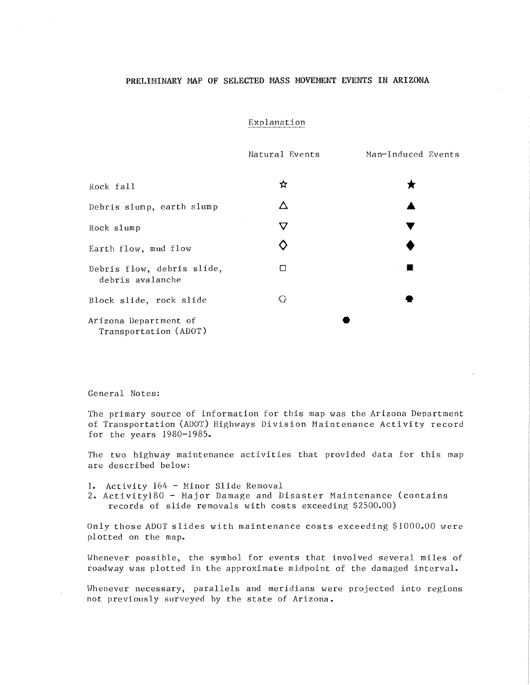#### PRELIMINARY MAP OF SELECTED MASS MOVEMENT EVENTS IN ARIZONA

### Explanation

|                                                | Natural Events | Man-Induced Events |
|------------------------------------------------|----------------|--------------------|
| Rock fall                                      | ☆              |                    |
| Debris slump, earth slump                      | Δ              |                    |
| Rock slump                                     | $\bm{\nabla}$  |                    |
| Earth flow, mud flow                           |                |                    |
| Debris flow, debris slide,<br>debris avalanche | П              |                    |
| Block slide, rock slide                        | ♤              |                    |
| Arizona Department of<br>Transportation (ADOT) |                |                    |

#### General Notes:

The primary source of information for this map was the Arizona Department of Transportation (ADOT) Highways Division Maintenance Activity record for the years 1980-1985.

The two highway maintenance activities that provided data for this map are described below:

- 1. Activity 164 Minor Slide Removal
- 2. Activity180 Major Damage and Disaster Maintenance (contains records of slide removals with costs exceeding \$2500.00)

Only those ADOT slides with maintenance costs exceeding \$1000.00 were plotted on the map.

Whenever possible, the symbol for events that involved several miles of roadway was plotted in the approximate midpoint of the damaged interval.

Whenever necessary, parallels and meridians were projected into regions not previously surveyed by the state of Arizona.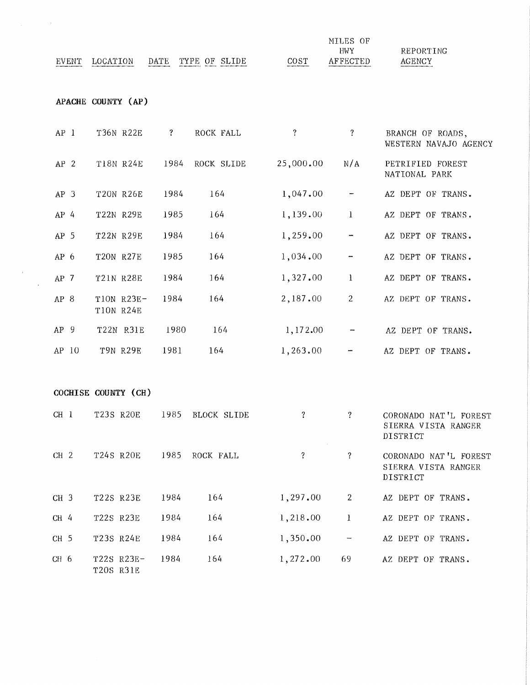|                                                         |                                                                                                         |                                                    |                                                                                                                     |                                               | MILES OF                                                                                              |                                                                                   |
|---------------------------------------------------------|---------------------------------------------------------------------------------------------------------|----------------------------------------------------|---------------------------------------------------------------------------------------------------------------------|-----------------------------------------------|-------------------------------------------------------------------------------------------------------|-----------------------------------------------------------------------------------|
|                                                         |                                                                                                         |                                                    |                                                                                                                     |                                               | HWY                                                                                                   | REPORTING                                                                         |
| EVENT<br>www.communication.com/processing/communication | LOCATION<br>the formula contribution of the control of the control of the control of the control of the | <b>DATE</b><br><b>Benedict Committee Committee</b> | TYPE<br>OF SLIDE<br>And companies, the companies of the companies of the companies<br>dente anno a determination de | COST<br>dente approximate in the contemporary | AFFECTED<br>The company's and state the basic contact of the contact of the contact of the contact of | AGENCY<br>defined adjusted as a median conflict for edges to configurate the same |

## APACHE COUNTY **(AP)**

 $\label{eq:2.1} \frac{1}{\sqrt{2}}\int_{\mathbb{R}^3} \frac{1}{\sqrt{2}}\left(\frac{1}{\sqrt{2}}\right)^2\frac{dx}{dx}dx = \frac{1}{2}\int_{\mathbb{R}^3} \frac{dx}{dx}$ 

 $\label{eq:2} \frac{1}{\sqrt{2}}\int_{0}^{\infty}\frac{dx}{\sqrt{2\pi}}\,dx$  $\mathcal{L}^{\text{max}}_{\text{max}}$ 

| AP <sub>1</sub> |       | T36N R22E               | $\boldsymbol{\mathcal{P}}$ | ROCK FALL          | $\overline{\mathcal{E}}$ | $\overline{?}$               | BRANCH OF ROADS,<br>WESTERN NAVAJO AGENCY                |
|-----------------|-------|-------------------------|----------------------------|--------------------|--------------------------|------------------------------|----------------------------------------------------------|
| $AP$ 2          |       | T18N R24E               | 1984                       | ROCK SLIDE         | 25,000.00                | N/A                          | PETRIFIED FOREST<br>NATIONAL PARK                        |
| AP <sub>3</sub> |       | T20N R26E               | 1984                       | 164                | 1,047.00                 |                              | AZ DEPT OF TRANS.                                        |
| $AP$ 4          |       | T22N R29E               | 1985                       | 164                | 1,139.00                 | $\mathbf{1}$                 | AZ DEPT OF TRANS.                                        |
| AP <sub>5</sub> |       | T22N R29E               | 1984                       | 164                | 1,259.00                 |                              | AZ DEPT OF TRANS.                                        |
| $AP$ 6          |       | T20N R27E               | 1985                       | 164                | 1,034.00                 | $\qquad \qquad \blacksquare$ | AZ DEPT OF TRANS.                                        |
| AP <sub>7</sub> |       | T21N R28E               | 1984                       | 164                | 1,327.00                 | $\mathbf{1}$                 | AZ DEPT OF TRANS.                                        |
| AP 8            |       | T10N R23E-<br>T10N R24E | 1984                       | 164                | 2,187.00                 | $\overline{2}$               | AZ DEPT OF TRANS.                                        |
| $AP$ 9          |       | T22N R31E               | 1980                       | 164                | 1,172.00                 |                              | AZ DEPT OF TRANS.                                        |
|                 | AP 10 | <b>T9N R29E</b>         | 1981                       | 164                | 1,263.00                 |                              | AZ DEPT OF TRANS.                                        |
|                 |       | COCHISE COUNTY (CH)     |                            |                    |                          |                              |                                                          |
| CH <sub>1</sub> |       | T23S R20E               | 1985                       | <b>BLOCK SLIDE</b> | $\ddot{\cdot}$           | $\boldsymbol{?}$             | CORONADO NAT'L FOREST<br>SIERRA VISTA RANGER<br>DISTRICT |
| CH <sub>2</sub> |       | T24S R20E               | 1985                       | ROCK FALL          | $\overline{\cdot}$       | $\ddot{ }$                   | CORONADO NAT'L FOREST<br>SIERRA VISTA RANGER<br>DISTRICT |
| CH <sub>3</sub> |       | T22S R23E               | 1984                       | 164                | 1,297.00                 | $\mathbf{2}$                 | AZ DEPT OF TRANS.                                        |
| CH <sub>4</sub> |       | T22S R23E               | 1984                       | 164                | 1,218.00                 | $\mathbf{1}$                 | AZ DEPT OF TRANS.                                        |
| CH <sub>5</sub> |       | T23S R24E               | 1984                       | 164                | 1,350.00                 | $\overline{\phantom{0}}$     | AZ DEPT OF TRANS.                                        |
| CH <sub>6</sub> |       | T22S R23E-<br>T20S R31E | 1984                       | 164                | 1,272.00                 | 69                           | AZ DEPT OF TRANS.                                        |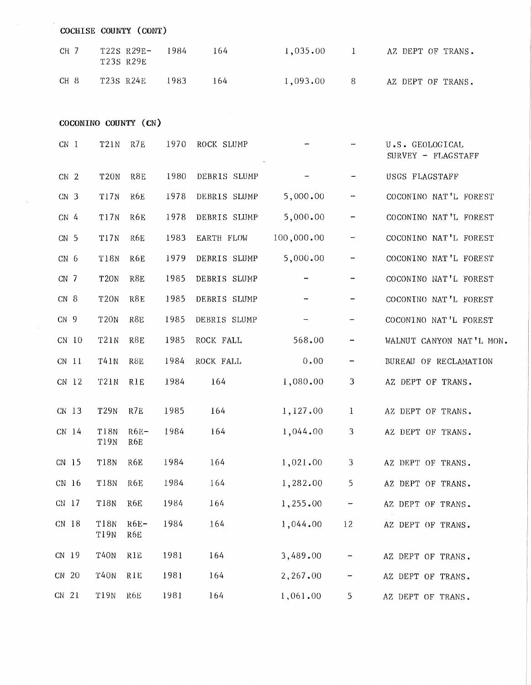|                 | COCHISE COUNTY (CONT)        |        |      |                                |  |  |                   |
|-----------------|------------------------------|--------|------|--------------------------------|--|--|-------------------|
| CH <sub>7</sub> | T22S R29E- 1984<br>T23S R29E |        | -164 | $1,035,00$ 1 AZ DEPT OF TRANS. |  |  |                   |
| CH 8            | T23S R24E                    | - 1983 | -164 | $1,093,00$ 8                   |  |  | AZ DEPT OF TRANS. |

COCONINO COUNTY (eN)

 $\hat{\mathcal{J}}$ 

 $\mathcal{A}^{\pm}$ 

|                 | CN <sub>1</sub>  | T21N                | R7E              | 1970 | ROCK SLUMP   |            |                          | U.S. GEOLOGICAL<br>SURVEY - FLAGSTAFF |
|-----------------|------------------|---------------------|------------------|------|--------------|------------|--------------------------|---------------------------------------|
|                 | CN <sub>2</sub>  | T <sub>20</sub> N   | R8E              | 1980 | DEBRIS SLUMP |            |                          | USGS FLAGSTAFF                        |
|                 | CN <sub>3</sub>  | T17N                | R6E              | 1978 | DEBRIS SLUMP | 5,000.00   |                          | COCONINO NAT'L FOREST                 |
|                 | CN <sub>4</sub>  | T17N                | R6E              | 1978 | DEBRIS SLUMP | 5,000.00   | -                        | COCONINO NAT'L FOREST                 |
|                 | CN <sub>5</sub>  | T17N                | R6E              | 1983 | EARTH FLOW   | 100,000,00 | -                        | COCONINO NAT'L FOREST                 |
| CN <sub>6</sub> |                  | T18N                | R6E              | 1979 | DEBRIS SLUMP | 5,000.00   | -                        | COCONINO NAT'L FOREST                 |
| CN <sub>7</sub> |                  | T <sub>20</sub> N   | R8E              | 1985 | DEBRIS SLUMP |            | -                        | COCONINO NAT'L FOREST                 |
| CN 8            |                  | T <sub>20</sub> N   | R8E              | 1985 | DEBRIS SLUMP |            |                          | COCONINO NAT'L FOREST                 |
| CN 9            |                  | <b>T20N</b>         | R8E              | 1985 | DEBRIS SLUMP |            |                          | COCONINO NAT'L FOREST                 |
|                 | CN 10            | T <sub>2</sub> 1N   | R8E              | 1985 | ROCK FALL    | 568.00     |                          | WALNUT CANYON NAT'L MON.              |
|                 | $CN$ 11          | T41N                | R8E              | 1984 | ROCK FALL    | 0.00       | -                        | BUREAU OF RECLAMATION                 |
|                 | CN <sub>12</sub> | T <sub>2</sub> 1N   | R <sub>1</sub> E | 1984 | 164          | 1,080.00   | $\mathfrak{Z}$           | AZ DEPT OF TRANS.                     |
|                 | CN <sub>13</sub> | T29N                | R7E              | 1985 | 164          | 1,127.00   | $\bf{l}$                 | AZ DEPT OF TRANS.                     |
|                 | $CN$ 14          | <b>T18N</b><br>T19N | $R6E-$<br>R6E    | 1984 | 164          | 1,044.00   | 3                        | AZ DEPT OF TRANS.                     |
|                 | CN 15            | T18N                | R6E              | 1984 | 164          | 1,021.00   | 3                        | AZ DEPT OF TRANS.                     |
| CN 16           |                  | T18N                | R6E              | 1984 | 164          | 1,282.00   | 5                        | AZ DEPT OF TRANS.                     |
| $CN$ 17         |                  | <b>T18N</b>         | R6E              | 1984 | 164          | 1,255.00   | $\overline{\phantom{0}}$ | AZ DEPT OF TRANS.                     |
|                 | CN <sub>18</sub> | T18N R6E-<br>T19N   | R6E              | 1984 | 164          | 1,044.00   | 12                       | AZ DEPT OF TRANS.                     |
| CN 19           |                  | T <sub>4</sub> ON   | R1E              | 1981 | 164          | 3,489.00   |                          | AZ DEPT OF TRANS.                     |
| CN 20           |                  | <b>T40N</b>         | R1E              | 1981 | 164          | 2,267.00   | ÷                        | AZ DEPT OF TRANS.                     |
| $CN$ 21         |                  | T19N                | R6E              | 1981 | 164          | 1,061.00   | 5                        | AZ DEPT OF TRANS.                     |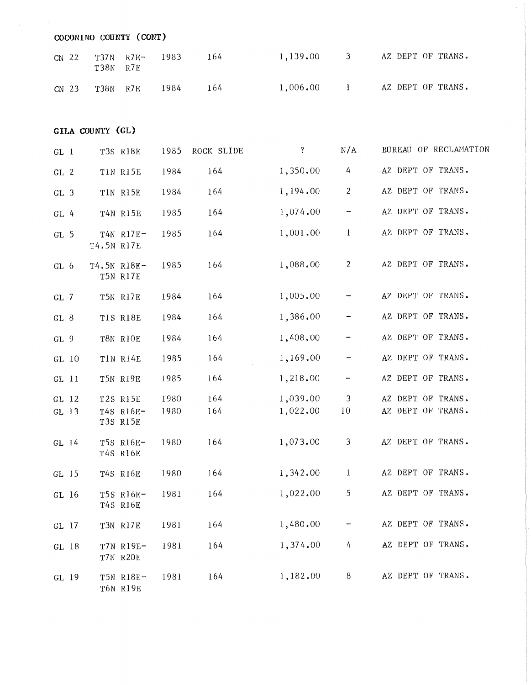| $CN$ 22         | T37N             | $R7E-$                  | 1983 | 164        | 1,139.00             | $\mathbf{3}$    | AZ DEPT OF TRANS.     |
|-----------------|------------------|-------------------------|------|------------|----------------------|-----------------|-----------------------|
|                 | <b>T38N</b>      | R7E                     |      |            |                      |                 |                       |
| CN 23           | T38N             | R7E                     | 1984 | 164        | 1,006.00             | $\bf{l}$        | AZ DEPT OF TRANS.     |
|                 | GILA COUNTY (GL) |                         |      |            |                      |                 |                       |
| $GL_1$          |                  | T3S R18E                | 1985 | ROCK SLIDE | $\ddot{\mathcal{E}}$ | N/A             | BUREAU OF RECLAMATION |
| GL <sub>2</sub> |                  | TIN R15E                | 1984 | 164        | 1,350,00             | 4               | AZ DEPT OF TRANS.     |
| GL 3            |                  | TIN R15E                | 1984 | 164        | 1,194.00             | $\overline{2}$  | AZ DEPT OF TRANS.     |
| GL <sub>4</sub> |                  | T4N R15E                | 1985 | 164        | 1,074.00             | -               | AZ DEPT OF TRANS.     |
| GL 5            | T4.5N R17E       | T4N R17E-               | 1985 | 164        | 1,001.00             | $\mathbf{1}$    | AZ DEPT OF TRANS.     |
| GL 6            |                  | T4.5N R18E-<br>T5N R17E | 1985 | 164        | 1,088.00             | $\mathbf{2}$    | AZ DEPT OF TRANS.     |
| GL $7$          |                  | T5N R17E                | 1984 | 164        | 1,005.00             |                 | AZ DEPT OF TRANS.     |
| GL 8            |                  | T1S R18E                | 1984 | 164        | 1,386.00             | -               | AZ DEPT OF TRANS.     |
| GL <sub>9</sub> |                  | T8N R10E                | 1984 | 164        | 1,408.00             | -               | AZ DEPT OF TRANS.     |
| GL 10           |                  | TIN R14E                | 1985 | 164        | 1,169.00             | -               | AZ DEPT OF TRANS.     |
| $GL_11$         |                  | T5N R19E                | 1985 | 164        | 1,218.00             |                 | AZ DEPT OF TRANS.     |
| GL 12           |                  | T2S R15E                | 1980 | 164        | 1,039.00             | 3               | AZ DEPT OF TRANS.     |
| GL 13           |                  | T4S R16E-<br>T3S R15E   | 1980 | 164        | 1,022.00             | 10 <sup>°</sup> | AZ DEPT OF TRANS.     |
| GL 14           |                  | T5S R16E-<br>T4S R16E   | 1980 | 164        | 1,073.00             | $\mathbf{3}$    | AZ DEPT OF TRANS.     |
| GL 15           |                  | T4S R16E                | 1980 | 164        | 1,342.00             | $\mathbf{1}$    | AZ DEPT OF TRANS.     |
| GL 16           |                  | T5S R16E-<br>T4S R16E   | 1981 | 164        | 1,022.00             | 5 <sub>1</sub>  | AZ DEPT OF TRANS.     |
| GL 17           |                  | T3N R17E                | 1981 | 164        | 1,480.00             | ÷               | AZ DEPT OF TRANS.     |
| GL 18           |                  | T7N R19E-<br>T7N R2OE   | 1981 | 164        | 1,374.00             | 4               | AZ DEPT OF TRANS.     |
| GL 19           |                  | T5N R18E-<br>T6N R19E   | 1981 | 164        | 1,182,00             | 8               | AZ DEPT OF TRANS.     |

 $\chi^2$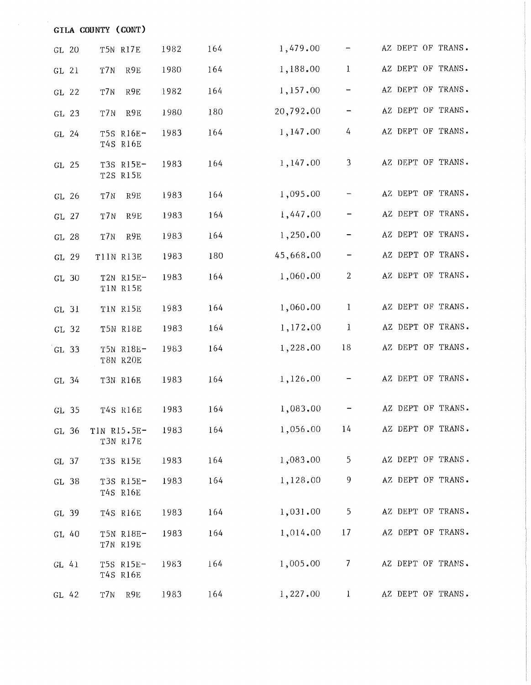|         | GILA COUNTY (CONT) |                              |      |     |           |                |                   |
|---------|--------------------|------------------------------|------|-----|-----------|----------------|-------------------|
| GL 20   |                    | T5N R17E                     | 1982 | 164 | 1,479.00  |                | AZ DEPT OF TRANS. |
| GL 21   | T7N                | R9E                          | 1980 | 164 | 1,188.00  | $\bf{l}$       | AZ DEPT OF TRANS. |
| GL 22   | T7N                | R9E                          | 1982 | 164 | 1,157.00  | -              | AZ DEPT OF TRANS. |
| GL 23   | T7N                | R9E                          | 1980 | 180 | 20,792.00 |                | AZ DEPT OF TRANS. |
| GL 24   |                    | T5S R16E-<br>T4S R16E        | 1983 | 164 | 1,147.00  | 4              | AZ DEPT OF TRANS. |
| GL 25   |                    | T3S R15E-<br>T2S R15E        | 1983 | 164 | 1,147.00  | $\mathfrak{Z}$ | AZ DEPT OF TRANS. |
| GL 26   | T7N                | R9E                          | 1983 | 164 | 1,095.00  |                | AZ DEPT OF TRANS. |
| GL 27   | T7N                | R9E                          | 1983 | 164 | 1,447.00  |                | AZ DEPT OF TRANS. |
| GL 28   | T7N                | R9E                          | 1983 | 164 | 1,250.00  |                | AZ DEPT OF TRANS. |
| GL 29   | TIIN RI3E          |                              | 1983 | 180 | 45,668.00 |                | AZ DEPT OF TRANS. |
| GL 30   |                    | T2N R15E-<br>TIN R15E        | 1983 | 164 | 1,060.00  | $\overline{2}$ | AZ DEPT OF TRANS. |
| GL 31   |                    | TIN R15E                     | 1983 | 164 | 1,060.00  | $\mathbf{1}$   | AZ DEPT OF TRANS. |
| GL 32   |                    | T5N R18E                     | 1983 | 164 | 1,172.00  | $\mathbf{1}$   | AZ DEPT OF TRANS. |
| GL 33   |                    | T5N R18E-<br><b>T8N R2OE</b> | 1983 | 164 | 1,228.00  | 18             | AZ DEPT OF TRANS. |
| GL 34   |                    | T3N R16E                     | 1983 | 164 | 1,126.00  |                | AZ DEPT OF TRANS. |
| GL 35   |                    | T4S R16E                     | 1983 | 164 | 1,083.00  |                | AZ DEPT OF TRANS. |
| GL 36   | T1N R15.5E-        | T3N R17E                     | 1983 | 164 | 1,056.00  | 14             | AZ DEPT OF TRANS. |
| GL 37   |                    | T3S R15E                     | 1983 | 164 | 1,083.00  | 5              | AZ DEPT OF TRANS. |
| GL 38   |                    | T3S R15E-<br>T4S R16E        | 1983 | 164 | 1,128.00  | 9              | AZ DEPT OF TRANS. |
| GL 39   |                    | T4S R16E                     | 1983 | 164 | 1,031.00  | 5              | AZ DEPT OF TRANS. |
| GL 40   |                    | T5N R18E-<br>T7N R19E        | 1983 | 164 | 1,014.00  | 17             | AZ DEPT OF TRANS. |
| $GL$ 41 |                    | T5S R15E-<br>T4S R16E        | 1983 | 164 | 1,005.00  | $\mathcal{I}$  | AZ DEPT OF TRANS. |
| GL 42   | T7N                | R9E                          | 1983 | 164 | 1,227.00  | $\mathbf{1}$   | AZ DEPT OF TRANS. |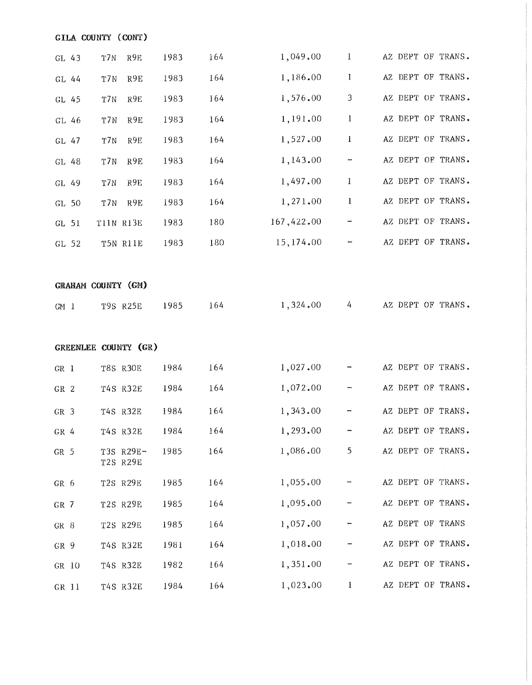|        | GILA COUNTY (CONT)      |      |     |            |                |                   |
|--------|-------------------------|------|-----|------------|----------------|-------------------|
| GL 43  | R9E<br>T7N              | 1983 | 164 | 1,049.00   | $\mathbf{I}$   | AZ DEPT OF TRANS. |
| GL 44  | R9E<br>T7N              | 1983 | 164 | 1,186.00   | $\bf{l}$       | AZ DEPT OF TRANS. |
| GL 45  | R <sub>9E</sub><br>T7N  | 1983 | 164 | 1,576.00   | $\mathfrak{Z}$ | AZ DEPT OF TRANS. |
| GL 46  | T7N<br>R <sub>9E</sub>  | 1983 | 164 | 1,191.00   | $\mathbf{1}$   | AZ DEPT OF TRANS. |
| GL 47  | T7N<br>R9E              | 1983 | 164 | 1,527.00   | $\mathbf{I}$   | AZ DEPT OF TRANS. |
| GL 48  | T7N<br>R <sub>9</sub> E | 1983 | 164 | 1,143.00   |                | AZ DEPT OF TRANS. |
| GL 49  | R9E<br>T7N              | 1983 | 164 | 1,497.00   | $\mathbf{1}$   | AZ DEPT OF TRANS. |
| GL 50  | T7N<br>R <sub>9E</sub>  | 1983 | 164 | 1,271.00   | $\mathbf{1}$   | AZ DEPT OF TRANS. |
| GL 51  | TIIN R13E               | 1983 | 180 | 167,422.00 |                | AZ DEPT OF TRANS. |
| GL 52  | T5N R11E                | 1983 | 180 | 15,174.00  |                | AZ DEPT OF TRANS. |
|        |                         |      |     |            |                |                   |
|        | GRAHAM COUNTY (GM)      |      |     |            |                |                   |
| GM 1   | T9S R25E                | 1985 | 164 | 1,324.00   | 4              | AZ DEPT OF TRANS. |
|        |                         |      |     |            |                |                   |
|        | GREENLEE COUNTY (GR)    |      |     |            |                |                   |
| $GR$ 1 | T8S R30E                | 1984 | 164 | 1,027.00   |                | AZ DEPT OF TRANS. |
| GR 2   | T4S R32E                | 1984 | 164 | 1,072.00   |                | AZ DEPT OF TRANS. |
| GR 3   | T4S R32E                | 1984 | 164 | 1,343.00   |                | AZ DEPT OF TRANS. |
| $GR$ 4 | T4S R32E                | 1984 | 164 | 1,293.00   |                | AZ DEPT OF TRANS. |
| GR 5   | T3S R29E-               | 1985 | 164 | 1,086.00   | 5              | AZ DEPT OF TRANS. |
|        | T2S R29E                |      |     |            |                |                   |
| GR 6   | T2S R29E                | 1985 | 164 | 1,055.00   |                | AZ DEPT OF TRANS. |
| GR 7   | T2S R29E                | 1985 | 164 | 1,095.00   |                | AZ DEPT OF TRANS. |
| GR 8   | T2S R29E                | 1985 | 164 | 1,057.00   |                | AZ DEPT OF TRANS  |
| GR 9   | T4S R32E                | 1981 | 164 | 1,018.00   |                | AZ DEPT OF TRANS. |
| GR 10  | T4S R32E                | 1982 | 164 | 1,351.00   |                | AZ DEPT OF TRANS. |
| GR 11  | T4S R32E                | 1984 | 164 | 1,023.00   | $\mathbf{1}$   | AZ DEPT OF TRANS. |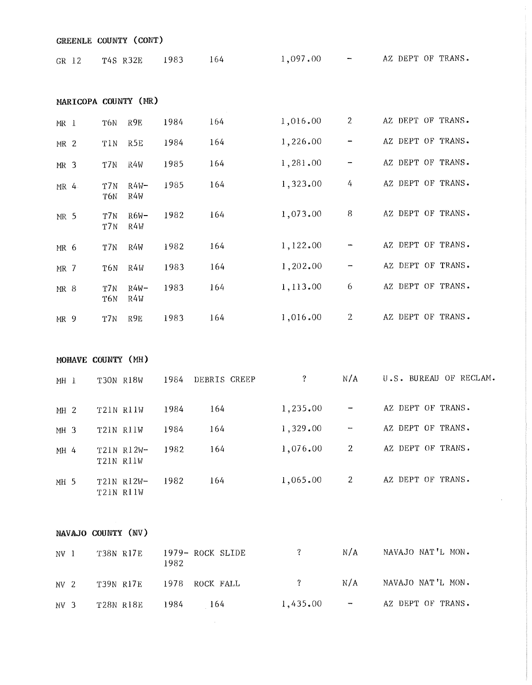GREENLE COUNTY (CONT)

| GR 12           | T4S R32E                    | 1983 | 164              | 1,097.00            |                | AZ DEPT OF TRANS.      |
|-----------------|-----------------------------|------|------------------|---------------------|----------------|------------------------|
|                 | MARICOPA COUNTY (MR)        |      |                  |                     |                |                        |
| $\rm MR\_1$     | R9E<br>T6N                  | 1984 | 164              | 1,016.00            | $\overline{2}$ | AZ DEPT OF TRANS.      |
| MR <sub>2</sub> | R5E<br>TIN                  | 1984 | 164              | 1,226.00            | -              | AZ DEPT OF TRANS.      |
| MR 3            | R4W<br>T7N                  | 1985 | 164              | 1,281.00            | ÷              | AZ DEPT OF TRANS.      |
| $MR$ 4.         | $R4W-$<br>T7N<br>R4W<br>T6N | 1985 | 164              | 1,323.00            | 4              | AZ DEPT OF TRANS.      |
| MR 5            | $R6W-$<br>T7N<br>R4W<br>T7N | 1982 | 164              | 1,073.00            | $\, 8$         | AZ DEPT OF TRANS.      |
| MR 6            | R4W<br>T7N                  | 1982 | 164              | 1,122.00            | -              | AZ DEPT OF TRANS.      |
| MR 7            | R4W<br>T6N                  | 1983 | 164              | 1,202.00            | ↔              | AZ DEPT OF TRANS.      |
| MR 8            | $R4W-$<br>T7N<br>T6N<br>R4W | 1983 | 164              | 1,113.00            | 6              | AZ DEPT OF TRANS.      |
| MR 9            | R9E<br>T7N                  | 1983 | 164              | 1,016.00            | $\overline{2}$ | AZ DEPT OF TRANS.      |
|                 | MOHAVE COUNTY (MH)          |      |                  |                     |                |                        |
| $MH_1$          | T30N R18W                   | 1984 | DEBRIS CREEP     | ?                   | N/A            | U.S. BUREAU OF RECLAM. |
| $MH$ 2          | T21N R11W                   | 1984 | 164              | 1,235.00            |                | AZ DEPT OF TRANS.      |
| MH 3            | T21N R11W                   | 1984 | 164              | 1,329.00            |                | AZ DEPT OF TRANS.      |
| MH 4            | T21N R12W-<br>T21N R11W     | 1982 | 164              | 1,076.00            | $\overline{2}$ | AZ DEPT OF TRANS.      |
| MH 5            | T21N R12W-<br>T21N R11W     | 1982 | 164              | 1,065.00            | $\overline{2}$ | AZ DEPT OF TRANS.      |
|                 | NAVAJO COUNTY (NV)          |      |                  |                     |                |                        |
| NVI             | T38N R17E                   | 1982 | 1979- ROCK SLIDE | $\ddot{\mathbf{S}}$ | N/A            | NAVAJO NAT'L MON.      |
| NV <sub>2</sub> | T39N R17E                   | 1978 | ROCK FALL        | ?                   | N/A            | NAVAJO NAT'L MON.      |
| NV <sub>3</sub> | <b>T28N R18E</b>            | 1984 | 164              | 1,435.00            |                | AZ DEPT OF TRANS.      |

 $\lambda$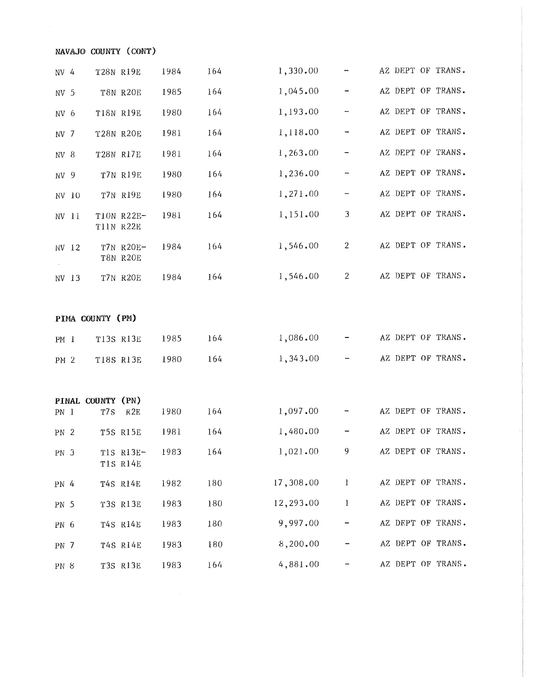|                 |                  | NAVAJO COUNTY (CONT)         |      |     |           |                |  |                   |
|-----------------|------------------|------------------------------|------|-----|-----------|----------------|--|-------------------|
| NV <sub>4</sub> | T28N R19E        |                              | 1984 | 164 | 1,330.00  |                |  | AZ DEPT OF TRANS. |
| NV 5            |                  | <b>T8N R2OE</b>              | 1985 | 164 | 1,045.00  |                |  | AZ DEPT OF TRANS. |
| NV 6            |                  | T18N R19E                    | 1980 | 164 | 1,193.00  |                |  | AZ DEPT OF TRANS. |
| $NV$ 7          |                  | T28N R2OE                    | 1981 | 164 | 1,118.00  |                |  | AZ DEPT OF TRANS. |
| NV 8            |                  | T28N R17E                    | 1981 | 164 | 1,263.00  |                |  | AZ DEPT OF TRANS. |
| NV 9            |                  | T7N R19E                     | 1980 | 164 | 1,236.00  |                |  | AZ DEPT OF TRANS. |
| NV 10           |                  | T7N R19E                     | 1980 | 164 | 1,271.00  |                |  | AZ DEPT OF TRANS. |
| NV 11           |                  | T10N R22E-<br>T11N R22E      | 1981 | 164 | 1,151.00  | 3              |  | AZ DEPT OF TRANS. |
| NV 12           |                  | T7N R20E-<br><b>T8N R2OE</b> | 1984 | 164 | 1,546.00  | $\overline{2}$ |  | AZ DEPT OF TRANS. |
| NV 13           |                  | T7N R20E                     | 1984 | 164 | 1,546.00  | $\overline{2}$ |  | AZ DEPT OF TRANS. |
|                 |                  |                              |      |     |           |                |  |                   |
|                 |                  |                              |      |     |           |                |  |                   |
|                 | PIMA COUNTY (PM) |                              |      |     |           |                |  |                   |
| $PM$ 1          |                  | T13S R13E                    | 1985 | 164 | 1,086.00  |                |  | AZ DEPT OF TRANS. |
| PM 2            | T18S R13E        |                              | 1980 | 164 | 1,343.00  |                |  | AZ DEPT OF TRANS. |
|                 |                  |                              |      |     |           |                |  |                   |
|                 | PINAL COUNTY     | (PN)                         |      |     |           |                |  |                   |
| PN 1            | T7S              | R2E                          | 1980 | 164 | 1,097.00  |                |  | AZ DEPT OF TRANS. |
| PN <sub>2</sub> |                  | T5S R15E                     | 1981 | 164 | 1,480.00  |                |  | AZ DEPT OF TRANS. |
| PN 3            |                  | TIS R13E-<br>TIS R14E        | 1983 | 164 | 1,021.00  | 9              |  | AZ DEPT OF TRANS. |
| PN 4            |                  | T4S R14E                     | 1982 | 180 | 17,308.00 | $\bf{l}$       |  | AZ DEPT OF TRANS. |
| PN 5            |                  | T3S R13E                     | 1983 | 180 | 12,293.00 | 1              |  | AZ DEPT OF TRANS. |
| PN 6            |                  | T4S R14E                     | 1983 | 180 | 9,997.00  |                |  | AZ DEPT OF TRANS. |
| PN 7            |                  | T4S R14E                     | 1983 | 180 | 8,200.00  |                |  | AZ DEPT OF TRANS. |

 $\label{eq:2.1} \mathcal{L}(\mathcal{L}^{\text{max}}_{\mathcal{L}}(\mathcal{L}^{\text{max}}_{\mathcal{L}}(\mathcal{L}^{\text{max}}_{\mathcal{L}}(\mathcal{L}^{\text{max}}_{\mathcal{L}^{\text{max}}_{\mathcal{L}}(\mathcal{L}^{\text{max}}_{\mathcal{L}^{\text{max}}_{\mathcal{L}^{\text{max}}_{\mathcal{L}^{\text{max}}_{\mathcal{L}^{\text{max}}_{\mathcal{L}^{\text{max}}_{\mathcal{L}^{\text{max}}_{\mathcal{L}^{\text{max}}_{\mathcal{L}^{\text{max}}$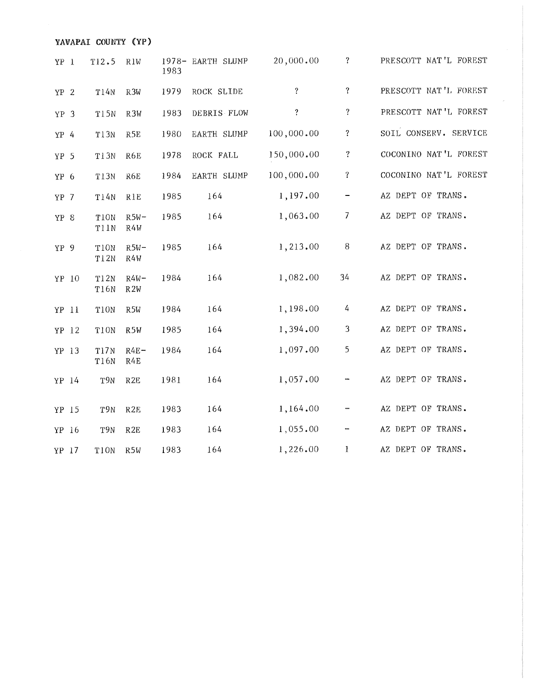## YAVAPAI COUNTY (YP)

| $YP_1$ | T12.5               | R1W              | 1983 | 1978- EARTH SLUMP | 20,000.00         | $\gamma$                   | PRESCOTT NAT'L FOREST |
|--------|---------------------|------------------|------|-------------------|-------------------|----------------------------|-----------------------|
| $YP$ 2 | T14N                | R3W              | 1979 | ROCK SLIDE        | $\ddot{?}$        | $\mathbf{?}$               | PRESCOTT NAT'L FOREST |
| YP 3   | <b>T15N</b>         | R3W              | 1983 | DEBRIS FLOW       | $\ddot{\text{?}}$ | $\boldsymbol ?$            | PRESCOTT NAT'L FOREST |
| YP 4   | T13N                | R5E              | 1980 | EARTH SLUMP       | 100,000.00        | $\boldsymbol{\mathcal{L}}$ | SOIL CONSERV. SERVICE |
| YP 5   | T13N                | R6E              | 1978 | ROCK FALL         | 150,000.00        | $\ddot{?}$                 | COCONINO NAT'L FOREST |
| $YP$ 6 | T13N                | R6E              | 1984 | EARTH SLUMP       | 100,000.00        | $\sqrt{2}$                 | COCONINO NAT'L FOREST |
| YP 7   | T14N                | R1E              | 1985 | 164               | 1,197.00          | -                          | AZ DEPT OF TRANS.     |
| YP 8   | T10N<br>TIIN        | $R5W-$<br>R4W    | 1985 | 164               | 1,063.00          | $\overline{7}$             | AZ DEPT OF TRANS.     |
| YP 9   | TION<br>T12N        | $R5W-$<br>R4W    | 1985 | 164               | 1,213.00          | 8                          | AZ DEPT OF TRANS.     |
| YP 10  | T12N<br><b>T16N</b> | $R4W-$<br>R2W    | 1984 | 164               | 1,082.00          | 34                         | AZ DEPT OF TRANS.     |
| YP 11  | T10N                | R5W              | 1984 | 164               | 1,198.00          | 4                          | AZ DEPT OF TRANS.     |
| YP 12  | TION                | R <sub>5</sub> W | 1985 | 164               | 1,394.00          | $\mathbf{3}$               | AZ DEPT OF TRANS.     |
| YP 13  | T17N<br>T16N        | $R4E-$<br>R4E    | 1984 | 164               | 1,097.00          | 5                          | AZ DEPT OF TRANS.     |
| YP 14  | T9N                 | R2E              | 1981 | 164               | 1,057.00          | ÷                          | AZ DEPT OF TRANS.     |
| YP 15  | T9N                 | R2E              | 1983 | 164               | 1,164.00          | -                          | AZ DEPT OF TRANS.     |
| YP 16  | T9N                 | R2E              | 1983 | 164               | 1,055.00          | -                          | AZ DEPT OF TRANS.     |
| YP 17  | T10N                | R5W              | 1983 | 164               | 1,226.00          | $\bf{l}$                   | AZ DEPT OF TRANS.     |